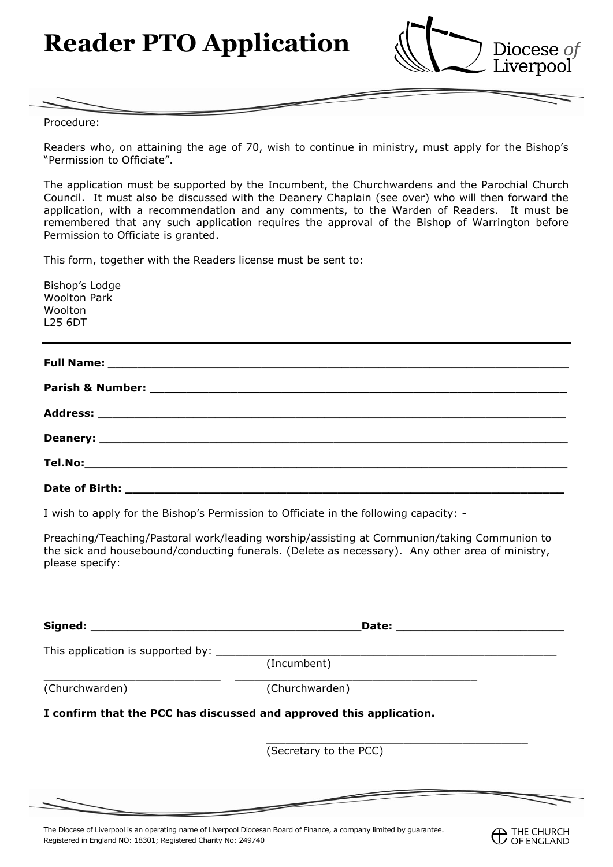**Reader PTO Application**



Procedure:

Readers who, on attaining the age of 70, wish to continue in ministry, must apply for the Bishop's "Permission to Officiate".

The application must be supported by the Incumbent, the Churchwardens and the Parochial Church Council. It must also be discussed with the Deanery Chaplain (see over) who will then forward the application, with a recommendation and any comments, to the Warden of Readers. It must be remembered that any such application requires the approval of the Bishop of Warrington before Permission to Officiate is granted.

This form, together with the Readers license must be sent to:

| Bishop's Lodge<br><b>Woolton Park</b>                                                              |  |  |
|----------------------------------------------------------------------------------------------------|--|--|
| Woolton                                                                                            |  |  |
| <b>L25 6DT</b><br>,我们也不会有什么。""我们的人,我们也不会有什么?""我们的人,我们也不会有什么?""我们的人,我们也不会有什么?""我们的人,我们也不会有什么?""我们的人 |  |  |
|                                                                                                    |  |  |
|                                                                                                    |  |  |
|                                                                                                    |  |  |
|                                                                                                    |  |  |
|                                                                                                    |  |  |
|                                                                                                    |  |  |

I wish to apply for the Bishop's Permission to Officiate in the following capacity: -

Preaching/Teaching/Pastoral work/leading worship/assisting at Communion/taking Communion to the sick and housebound/conducting funerals. (Delete as necessary). Any other area of ministry, please specify:

|                                             | Date: $\overline{\phantom{a}}$                                      |  |
|---------------------------------------------|---------------------------------------------------------------------|--|
| This application is supported by: _________ |                                                                     |  |
|                                             | (Incumbent)                                                         |  |
| (Churchwarden)                              | (Churchwarden)                                                      |  |
|                                             | I confirm that the PCC has discussed and approved this application. |  |
|                                             | (Secretary to the PCC)                                              |  |
|                                             |                                                                     |  |

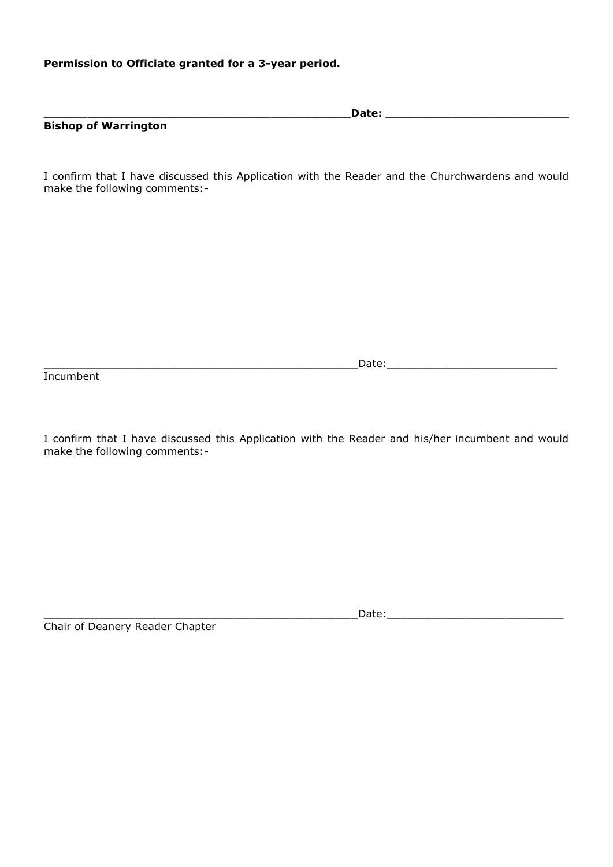## **Permission to Officiate granted for a 3-year period.**

|                             | Date: |  |
|-----------------------------|-------|--|
| <b>Bishop of Warrington</b> |       |  |

I confirm that I have discussed this Application with the Reader and the Churchwardens and would make the following comments:-

Incumbent

 $\hbox{\texttt{Date:}} \quad \hbox{\texttt{Date:}}$ 

I confirm that I have discussed this Application with the Reader and his/her incumbent and would make the following comments:-

Chair of Deanery Reader Chapter

 $\blacksquare$  Date: